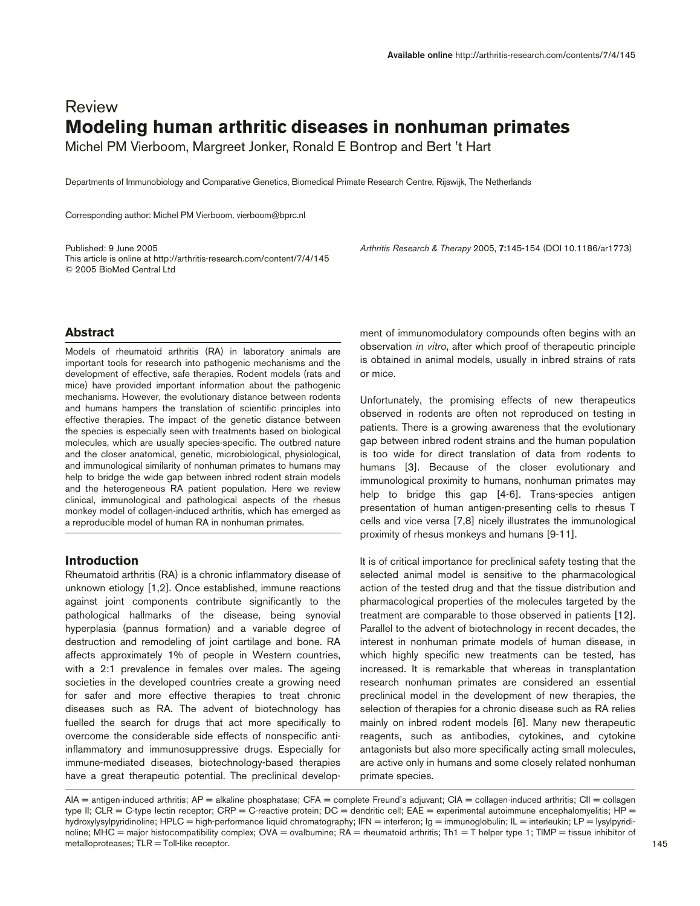# Review **Modeling human arthritic diseases in nonhuman primates**

Michel PM Vierboom, Margreet Jonker, Ronald E Bontrop and Bert 't Hart

Departments of Immunobiology and Comparative Genetics, Biomedical Primate Research Centre, Rijswijk, The Netherlands

Corresponding author: Michel PM Vierboom, vierboom@bprc.nl

This article is online at http://arthritis-research.com/content/7/4/145 © 2005 BioMed Central Ltd

Published: 9 June 2005 *Arthritis Research & Therapy* 2005, **7:**145-154 (DOI 10.1186/ar1773)

# **Abstract**

Models of rheumatoid arthritis (RA) in laboratory animals are important tools for research into pathogenic mechanisms and the development of effective, safe therapies. Rodent models (rats and mice) have provided important information about the pathogenic mechanisms. However, the evolutionary distance between rodents and humans hampers the translation of scientific principles into effective therapies. The impact of the genetic distance between the species is especially seen with treatments based on biological molecules, which are usually species-specific. The outbred nature and the closer anatomical, genetic, microbiological, physiological, and immunological similarity of nonhuman primates to humans may help to bridge the wide gap between inbred rodent strain models and the heterogeneous RA patient population. Here we review clinical, immunological and pathological aspects of the rhesus monkey model of collagen-induced arthritis, which has emerged as a reproducible model of human RA in nonhuman primates.

# **Introduction**

Rheumatoid arthritis (RA) is a chronic inflammatory disease of unknown etiology [1,2]. Once established, immune reactions against joint components contribute significantly to the pathological hallmarks of the disease, being synovial hyperplasia (pannus formation) and a variable degree of destruction and remodeling of joint cartilage and bone. RA affects approximately 1% of people in Western countries, with a 2:1 prevalence in females over males. The ageing societies in the developed countries create a growing need for safer and more effective therapies to treat chronic diseases such as RA. The advent of biotechnology has fuelled the search for drugs that act more specifically to overcome the considerable side effects of nonspecific antiinflammatory and immunosuppressive drugs. Especially for immune-mediated diseases, biotechnology-based therapies have a great therapeutic potential. The preclinical development of immunomodulatory compounds often begins with an observation *in vitro*, after which proof of therapeutic principle is obtained in animal models, usually in inbred strains of rats or mice.

Unfortunately, the promising effects of new therapeutics observed in rodents are often not reproduced on testing in patients. There is a growing awareness that the evolutionary gap between inbred rodent strains and the human population is too wide for direct translation of data from rodents to humans [3]. Because of the closer evolutionary and immunological proximity to humans, nonhuman primates may help to bridge this gap [4-6]. Trans-species antigen presentation of human antigen-presenting cells to rhesus T cells and vice versa [7,8] nicely illustrates the immunological proximity of rhesus monkeys and humans [9-11].

It is of critical importance for preclinical safety testing that the selected animal model is sensitive to the pharmacological action of the tested drug and that the tissue distribution and pharmacological properties of the molecules targeted by the treatment are comparable to those observed in patients [12]. Parallel to the advent of biotechnology in recent decades, the interest in nonhuman primate models of human disease, in which highly specific new treatments can be tested, has increased. It is remarkable that whereas in transplantation research nonhuman primates are considered an essential preclinical model in the development of new therapies, the selection of therapies for a chronic disease such as RA relies mainly on inbred rodent models [6]. Many new therapeutic reagents, such as antibodies, cytokines, and cytokine antagonists but also more specifically acting small molecules, are active only in humans and some closely related nonhuman primate species.

AIA = antigen-induced arthritis; AP = alkaline phosphatase; CFA = complete Freund's adjuvant; CIA = collagen-induced arthritis; CII = collagen type II; CLR = C-type lectin receptor; CRP = C-reactive protein; DC = dendritic cell; EAE = experimental autoimmune encephalomyelitis; HP = hydroxylysylpyridinoline; HPLC = high-performance liquid chromatography; IFN = interferon; Ig = immunoglobulin; IL = interleukin; LP = lysylpyridinoline; MHC = major histocompatibility complex; OVA = ovalbumine; RA = rheumatoid arthritis; Th1 = T helper type 1; TIMP = tissue inhibitor of metalloproteases; TLR = Toll-like receptor.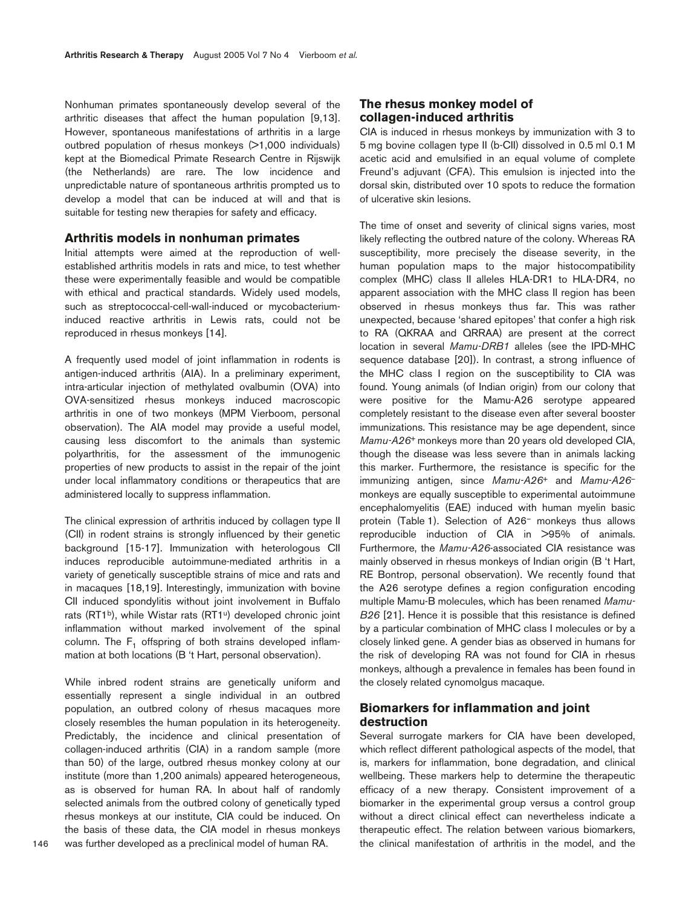Nonhuman primates spontaneously develop several of the arthritic diseases that affect the human population [9,13]. However, spontaneous manifestations of arthritis in a large outbred population of rhesus monkeys (>1,000 individuals) kept at the Biomedical Primate Research Centre in Rijswijk (the Netherlands) are rare. The low incidence and unpredictable nature of spontaneous arthritis prompted us to develop a model that can be induced at will and that is suitable for testing new therapies for safety and efficacy.

# **Arthritis models in nonhuman primates**

Initial attempts were aimed at the reproduction of wellestablished arthritis models in rats and mice, to test whether these were experimentally feasible and would be compatible with ethical and practical standards. Widely used models, such as streptococcal-cell-wall-induced or mycobacteriuminduced reactive arthritis in Lewis rats, could not be reproduced in rhesus monkeys [14].

A frequently used model of joint inflammation in rodents is antigen-induced arthritis (AIA). In a preliminary experiment, intra-articular injection of methylated ovalbumin (OVA) into OVA-sensitized rhesus monkeys induced macroscopic arthritis in one of two monkeys (MPM Vierboom, personal observation). The AIA model may provide a useful model, causing less discomfort to the animals than systemic polyarthritis, for the assessment of the immunogenic properties of new products to assist in the repair of the joint under local inflammatory conditions or therapeutics that are administered locally to suppress inflammation.

The clinical expression of arthritis induced by collagen type II (CII) in rodent strains is strongly influenced by their genetic background [15-17]. Immunization with heterologous CII induces reproducible autoimmune-mediated arthritis in a variety of genetically susceptible strains of mice and rats and in macaques [18,19]. Interestingly, immunization with bovine CII induced spondylitis without joint involvement in Buffalo rats (RT1<sup>b</sup>), while Wistar rats (RT1<sup>u</sup>) developed chronic joint inflammation without marked involvement of the spinal column. The  $F_1$  offspring of both strains developed inflammation at both locations (B 't Hart, personal observation).

While inbred rodent strains are genetically uniform and essentially represent a single individual in an outbred population, an outbred colony of rhesus macaques more closely resembles the human population in its heterogeneity. Predictably, the incidence and clinical presentation of collagen-induced arthritis (CIA) in a random sample (more than 50) of the large, outbred rhesus monkey colony at our institute (more than 1,200 animals) appeared heterogeneous, as is observed for human RA. In about half of randomly selected animals from the outbred colony of genetically typed rhesus monkeys at our institute, CIA could be induced. On the basis of these data, the CIA model in rhesus monkeys was further developed as a preclinical model of human RA.

# **The rhesus monkey model of collagen-induced arthritis**

CIA is induced in rhesus monkeys by immunization with 3 to 5 mg bovine collagen type II (b-CII) dissolved in 0.5 ml 0.1 M acetic acid and emulsified in an equal volume of complete Freund's adjuvant (CFA). This emulsion is injected into the dorsal skin, distributed over 10 spots to reduce the formation of ulcerative skin lesions.

The time of onset and severity of clinical signs varies, most likely reflecting the outbred nature of the colony. Whereas RA susceptibility, more precisely the disease severity, in the human population maps to the major histocompatibility complex (MHC) class II alleles HLA-DR1 to HLA-DR4, no apparent association with the MHC class II region has been observed in rhesus monkeys thus far. This was rather unexpected, because 'shared epitopes' that confer a high risk to RA (QKRAA and QRRAA) are present at the correct location in several *Mamu-DRB1* alleles (see the IPD-MHC sequence database [20]). In contrast, a strong influence of the MHC class I region on the susceptibility to CIA was found. Young animals (of Indian origin) from our colony that were positive for the Mamu-A26 serotype appeared completely resistant to the disease even after several booster immunizations. This resistance may be age dependent, since *Mamu-A26*+ monkeys more than 20 years old developed CIA, though the disease was less severe than in animals lacking this marker. Furthermore, the resistance is specific for the immunizing antigen, since *Mamu-A26*<sup>+</sup> and *Mamu-A26*– monkeys are equally susceptible to experimental autoimmune encephalomyelitis (EAE) induced with human myelin basic protein (Table 1). Selection of A26– monkeys thus allows reproducible induction of CIA in >95% of animals. Furthermore, the *Mamu-A26*-associated CIA resistance was mainly observed in rhesus monkeys of Indian origin (B 't Hart, RE Bontrop, personal observation). We recently found that the A26 serotype defines a region configuration encoding multiple Mamu-B molecules, which has been renamed *Mamu-B26* [21]. Hence it is possible that this resistance is defined by a particular combination of MHC class I molecules or by a closely linked gene. A gender bias as observed in humans for the risk of developing RA was not found for CIA in rhesus monkeys, although a prevalence in females has been found in the closely related cynomolgus macaque.

# **Biomarkers for inflammation and joint destruction**

Several surrogate markers for CIA have been developed, which reflect different pathological aspects of the model, that is, markers for inflammation, bone degradation, and clinical wellbeing. These markers help to determine the therapeutic efficacy of a new therapy. Consistent improvement of a biomarker in the experimental group versus a control group without a direct clinical effect can nevertheless indicate a therapeutic effect. The relation between various biomarkers, the clinical manifestation of arthritis in the model, and the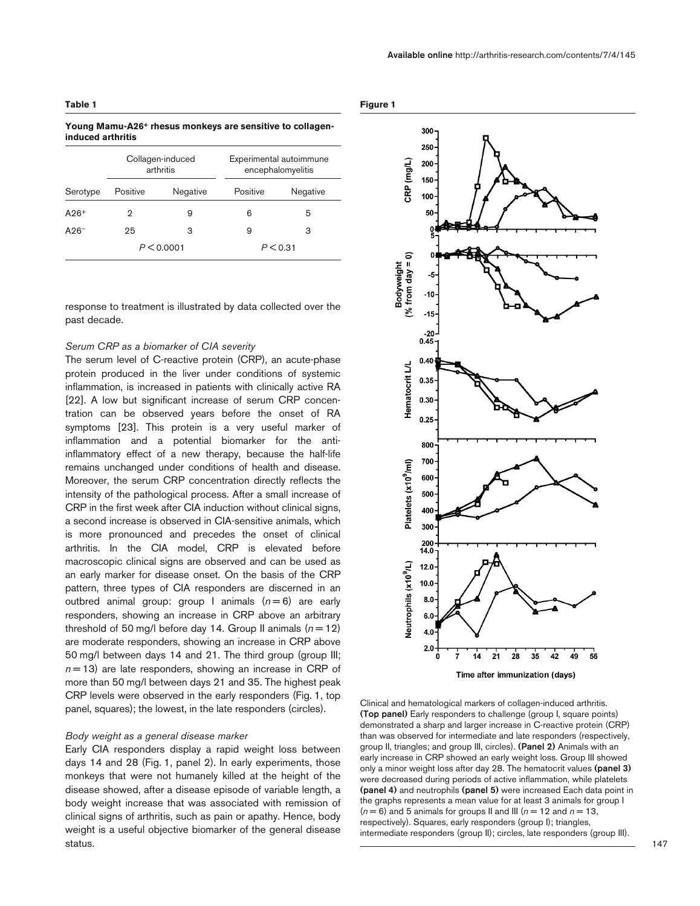#### **Table 1**

**Young Mamu-A26+ rhesus monkeys are sensitive to collageninduced arthritis**

|          | Collagen-induced<br>arthritis |          | Experimental autoimmune<br>encephalomyelitis |          |
|----------|-------------------------------|----------|----------------------------------------------|----------|
| Serotype | Positive                      | Negative | Positive                                     | Negative |
| $A26+$   | 2                             | 9        | 6                                            | 5        |
| $A96-$   | 25                            | з        | 9                                            | З        |
|          | P < 0.0001                    |          | P < 0.31                                     |          |

response to treatment is illustrated by data collected over the past decade.

#### *Serum CRP as a biomarker of CIA severity*

The serum level of C-reactive protein (CRP), an acute-phase protein produced in the liver under conditions of systemic inflammation, is increased in patients with clinically active RA [22]. A low but significant increase of serum CRP concentration can be observed years before the onset of RA symptoms [23]. This protein is a very useful marker of inflammation and a potential biomarker for the antiinflammatory effect of a new therapy, because the half-life remains unchanged under conditions of health and disease. Moreover, the serum CRP concentration directly reflects the intensity of the pathological process. After a small increase of CRP in the first week after CIA induction without clinical signs, a second increase is observed in CIA-sensitive animals, which is more pronounced and precedes the onset of clinical arthritis. In the CIA model, CRP is elevated before macroscopic clinical signs are observed and can be used as an early marker for disease onset. On the basis of the CRP pattern, three types of CIA responders are discerned in an outbred animal group: group I animals  $(n=6)$  are early responders, showing an increase in CRP above an arbitrary threshold of 50 mg/l before day 14. Group II animals  $(n = 12)$ are moderate responders, showing an increase in CRP above 50 mg/l between days 14 and 21. The third group (group III;  $n = 13$ ) are late responders, showing an increase in CRP of more than 50 mg/l between days 21 and 35. The highest peak CRP levels were observed in the early responders (Fig. 1, top panel, squares); the lowest, in the late responders (circles).

### *Body weight as a general disease marker*

Early CIA responders display a rapid weight loss between days 14 and 28 (Fig. 1, panel 2). In early experiments, those monkeys that were not humanely killed at the height of the disease showed, after a disease episode of variable length, a body weight increase that was associated with remission of clinical signs of arthritis, such as pain or apathy. Hence, body weight is a useful objective biomarker of the general disease status.

#### **Figure 1**



Clinical and hematological markers of collagen-induced arthritis. **(Top panel)** Early responders to challenge (group I, square points) demonstrated a sharp and larger increase in C-reactive protein (CRP) than was observed for intermediate and late responders (respectively, group II, triangles; and group III, circles). **(Panel 2)** Animals with an early increase in CRP showed an early weight loss. Group III showed only a minor weight loss after day 28. The hematocrit values **(panel 3)** were decreased during periods of active inflammation, while platelets **(panel 4)** and neutrophils **(panel 5)** were increased Each data point in the graphs represents a mean value for at least 3 animals for group I  $(n=6)$  and 5 animals for groups II and III  $(n=12)$  and  $n=13$ , respectively). Squares, early responders (group I); triangles, intermediate responders (group II); circles, late responders (group III).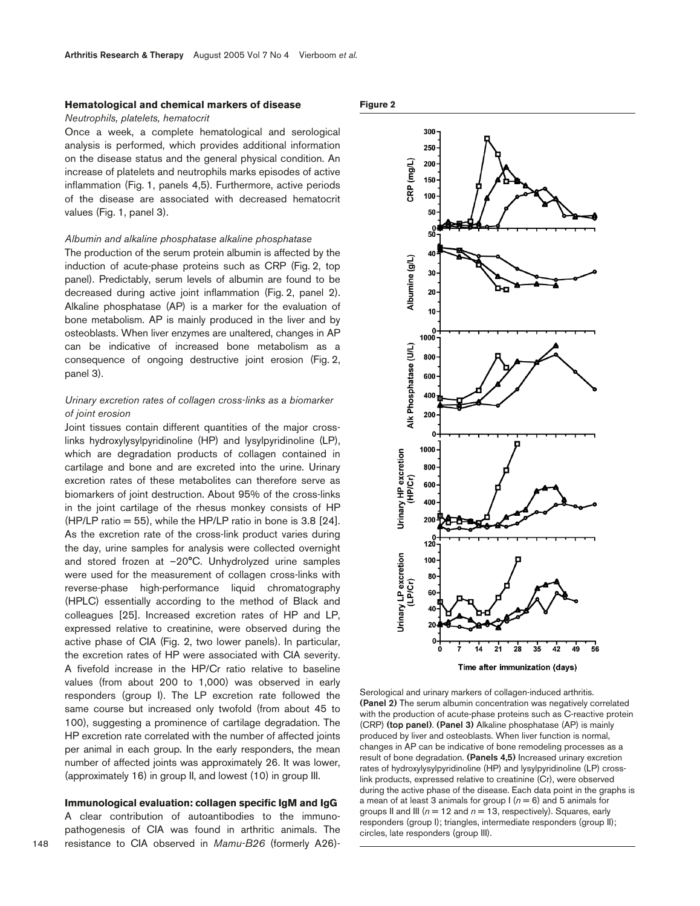### **Hematological and chemical markers of disease**

#### *Neutrophils, platelets, hematocrit*

Once a week, a complete hematological and serological analysis is performed, which provides additional information on the disease status and the general physical condition. An increase of platelets and neutrophils marks episodes of active inflammation (Fig. 1, panels 4,5). Furthermore, active periods of the disease are associated with decreased hematocrit values (Fig. 1, panel 3).

#### *Albumin and alkaline phosphatase alkaline phosphatase*

The production of the serum protein albumin is affected by the induction of acute-phase proteins such as CRP (Fig. 2, top panel). Predictably, serum levels of albumin are found to be decreased during active joint inflammation (Fig. 2, panel 2). Alkaline phosphatase (AP) is a marker for the evaluation of bone metabolism. AP is mainly produced in the liver and by osteoblasts. When liver enzymes are unaltered, changes in AP can be indicative of increased bone metabolism as a consequence of ongoing destructive joint erosion (Fig. 2, panel 3).

# *Urinary excretion rates of collagen cross-links as a biomarker of joint erosion*

Joint tissues contain different quantities of the major crosslinks hydroxylysylpyridinoline (HP) and lysylpyridinoline (LP), which are degradation products of collagen contained in cartilage and bone and are excreted into the urine. Urinary excretion rates of these metabolites can therefore serve as biomarkers of joint destruction. About 95% of the cross-links in the joint cartilage of the rhesus monkey consists of HP (HP/LP ratio = 55), while the HP/LP ratio in bone is 3.8 [24]. As the excretion rate of the cross-link product varies during the day, urine samples for analysis were collected overnight and stored frozen at –20°C. Unhydrolyzed urine samples were used for the measurement of collagen cross-links with reverse-phase high-performance liquid chromatography (HPLC) essentially according to the method of Black and colleagues [25]. Increased excretion rates of HP and LP, expressed relative to creatinine, were observed during the active phase of CIA (Fig. 2, two lower panels). In particular, the excretion rates of HP were associated with CIA severity. A fivefold increase in the HP/Cr ratio relative to baseline values (from about 200 to 1,000) was observed in early responders (group I). The LP excretion rate followed the same course but increased only twofold (from about 45 to 100), suggesting a prominence of cartilage degradation. The HP excretion rate correlated with the number of affected joints per animal in each group. In the early responders, the mean number of affected joints was approximately 26. It was lower, (approximately 16) in group II, and lowest (10) in group III.

# **Immunological evaluation: collagen specific IgM and IgG**

A clear contribution of autoantibodies to the immunopathogenesis of CIA was found in arthritic animals. The resistance to CIA observed in *Mamu-B26* (formerly A26)-

#### **Figure 2**



Serological and urinary markers of collagen-induced arthritis. **(Panel 2)** The serum albumin concentration was negatively correlated with the production of acute-phase proteins such as C-reactive protein (CRP) **(top panel)**. **(Panel 3)** Alkaline phosphatase (AP) is mainly produced by liver and osteoblasts. When liver function is normal, changes in AP can be indicative of bone remodeling processes as a result of bone degradation. **(Panels 4,5)** Increased urinary excretion rates of hydroxylysylpyridinoline (HP) and lysylpyridinoline (LP) crosslink products, expressed relative to creatinine (Cr), were observed during the active phase of the disease. Each data point in the graphs is a mean of at least 3 animals for group  $I(n = 6)$  and 5 animals for groups II and III ( $n = 12$  and  $n = 13$ , respectively). Squares, early responders (group I); triangles, intermediate responders (group II); circles, late responders (group III).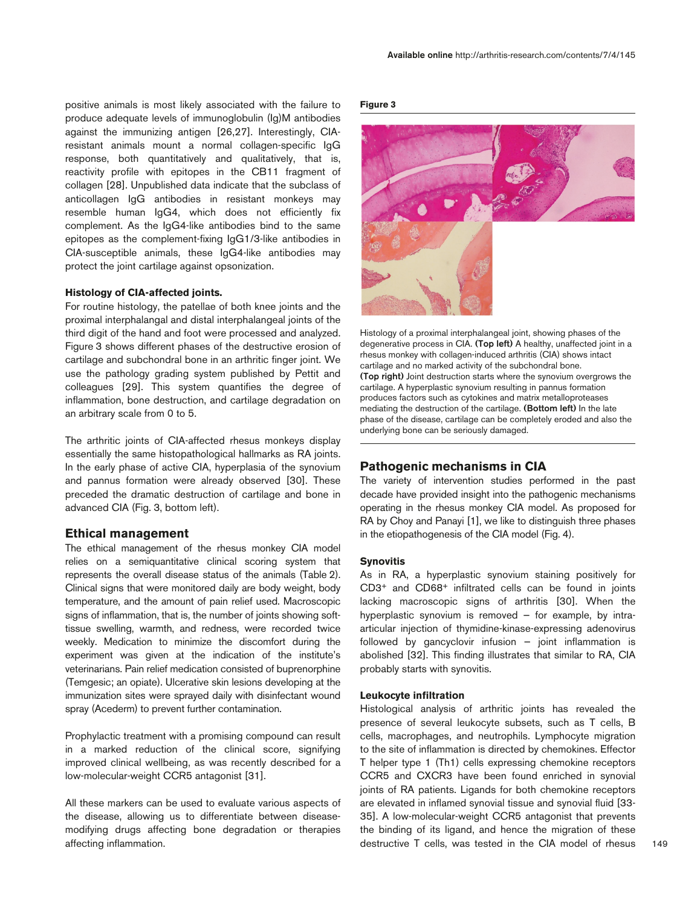positive animals is most likely associated with the failure to produce adequate levels of immunoglobulin (Ig)M antibodies against the immunizing antigen [26,27]. Interestingly, CIAresistant animals mount a normal collagen-specific IgG response, both quantitatively and qualitatively, that is, reactivity profile with epitopes in the CB11 fragment of collagen [28]. Unpublished data indicate that the subclass of anticollagen IgG antibodies in resistant monkeys may resemble human IgG4, which does not efficiently fix complement. As the IgG4-like antibodies bind to the same epitopes as the complement-fixing IgG1/3-like antibodies in CIA-susceptible animals, these IgG4-like antibodies may protect the joint cartilage against opsonization.

# **Histology of CIA-affected joints.**

For routine histology, the patellae of both knee joints and the proximal interphalangal and distal interphalangeal joints of the third digit of the hand and foot were processed and analyzed. Figure 3 shows different phases of the destructive erosion of cartilage and subchondral bone in an arthritic finger joint. We use the pathology grading system published by Pettit and colleagues [29]. This system quantifies the degree of inflammation, bone destruction, and cartilage degradation on an arbitrary scale from 0 to 5.

The arthritic joints of CIA-affected rhesus monkeys display essentially the same histopathological hallmarks as RA joints. In the early phase of active CIA, hyperplasia of the synovium and pannus formation were already observed [30]. These preceded the dramatic destruction of cartilage and bone in advanced CIA (Fig. 3, bottom left).

# **Ethical management**

The ethical management of the rhesus monkey CIA model relies on a semiquantitative clinical scoring system that represents the overall disease status of the animals (Table 2). Clinical signs that were monitored daily are body weight, body temperature, and the amount of pain relief used. Macroscopic signs of inflammation, that is, the number of joints showing softtissue swelling, warmth, and redness, were recorded twice weekly. Medication to minimize the discomfort during the experiment was given at the indication of the institute's veterinarians. Pain relief medication consisted of buprenorphine (Temgesic; an opiate). Ulcerative skin lesions developing at the immunization sites were sprayed daily with disinfectant wound spray (Acederm) to prevent further contamination.

Prophylactic treatment with a promising compound can result in a marked reduction of the clinical score, signifying improved clinical wellbeing, as was recently described for a low-molecular-weight CCR5 antagonist [31].

All these markers can be used to evaluate various aspects of the disease, allowing us to differentiate between diseasemodifying drugs affecting bone degradation or therapies affecting inflammation.

#### **Figure 3**



Histology of a proximal interphalangeal joint, showing phases of the degenerative process in CIA. **(Top left)** A healthy, unaffected joint in a rhesus monkey with collagen-induced arthritis (CIA) shows intact cartilage and no marked activity of the subchondral bone. **(Top right)** Joint destruction starts where the synovium overgrows the cartilage. A hyperplastic synovium resulting in pannus formation produces factors such as cytokines and matrix metalloproteases mediating the destruction of the cartilage. **(Bottom left)** In the late phase of the disease, cartilage can be completely eroded and also the underlying bone can be seriously damaged.

# **Pathogenic mechanisms in CIA**

The variety of intervention studies performed in the past decade have provided insight into the pathogenic mechanisms operating in the rhesus monkey CIA model. As proposed for RA by Choy and Panayi [1], we like to distinguish three phases in the etiopathogenesis of the CIA model (Fig. 4).

# **Synovitis**

As in RA, a hyperplastic synovium staining positively for CD3+ and CD68+ infiltrated cells can be found in joints lacking macroscopic signs of arthritis [30]. When the hyperplastic synovium is removed — for example, by intraarticular injection of thymidine-kinase-expressing adenovirus followed by gancyclovir infusion  $-$  joint inflammation is abolished [32]. This finding illustrates that similar to RA, CIA probably starts with synovitis.

# **Leukocyte infiltration**

Histological analysis of arthritic joints has revealed the presence of several leukocyte subsets, such as T cells, B cells, macrophages, and neutrophils. Lymphocyte migration to the site of inflammation is directed by chemokines. Effector T helper type 1 (Th1) cells expressing chemokine receptors CCR5 and CXCR3 have been found enriched in synovial joints of RA patients. Ligands for both chemokine receptors are elevated in inflamed synovial tissue and synovial fluid [33- 35]. A low-molecular-weight CCR5 antagonist that prevents the binding of its ligand, and hence the migration of these destructive T cells, was tested in the CIA model of rhesus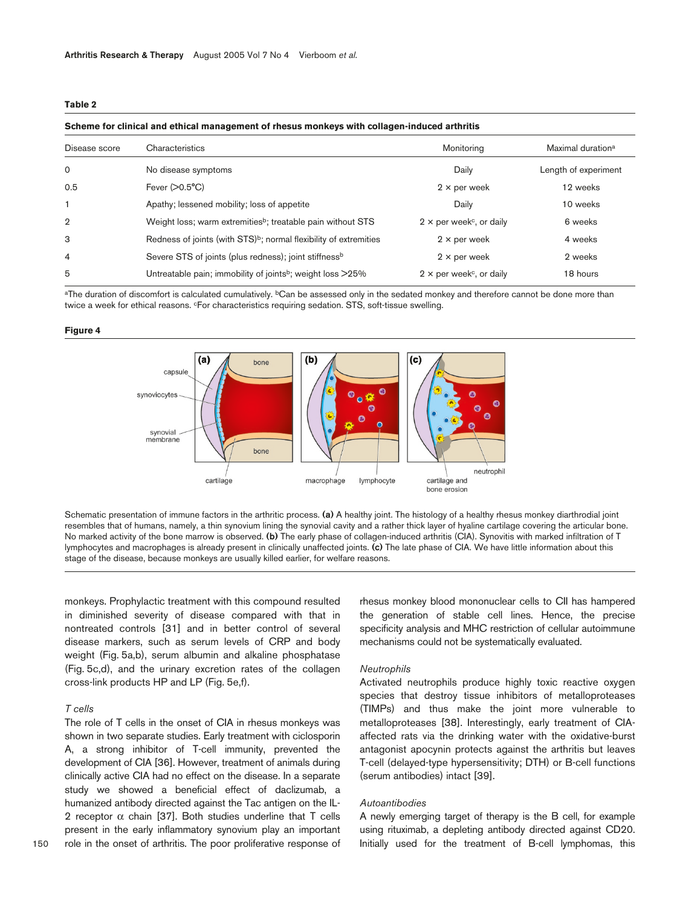#### **Table 2**

| Disease score  | Characteristics                                                               | Monitoring                                  | Maximal duration <sup>a</sup> |
|----------------|-------------------------------------------------------------------------------|---------------------------------------------|-------------------------------|
| $\Omega$       | No disease symptoms                                                           | Daily                                       | Length of experiment          |
| 0.5            | Fever $(>0.5^{\circ}C)$                                                       | $2 \times$ per week                         | 12 weeks                      |
|                | Apathy; lessened mobility; loss of appetite                                   | Daily                                       | 10 weeks                      |
| $\overline{2}$ | Weight loss; warm extremities <sup>b</sup> ; treatable pain without STS       | $2 \times$ per week <sup>c</sup> , or daily | 6 weeks                       |
| 3              | Redness of joints (with STS) <sup>b</sup> ; normal flexibility of extremities | $2 \times$ per week                         | 4 weeks                       |
| $\overline{4}$ | Severe STS of joints (plus redness); joint stiffness <sup>b</sup>             | $2 \times$ per week                         | 2 weeks                       |
| 5              | Untreatable pain; immobility of joints <sup>b</sup> ; weight loss >25%        | $2 \times$ per week <sup>c</sup> , or daily | 18 hours                      |

#### **Scheme for clinical and ethical management of rhesus monkeys with collagen-induced arthritis**

aThe duration of discomfort is calculated cumulatively. <sup>b</sup>Can be assessed only in the sedated monkey and therefore cannot be done more than twice a week for ethical reasons. For characteristics requiring sedation. STS, soft-tissue swelling.

#### **Figure 4**



Schematic presentation of immune factors in the arthritic process. **(a)** A healthy joint. The histology of a healthy rhesus monkey diarthrodial joint resembles that of humans, namely, a thin synovium lining the synovial cavity and a rather thick layer of hyaline cartilage covering the articular bone. No marked activity of the bone marrow is observed. **(b)** The early phase of collagen-induced arthritis (CIA). Synovitis with marked infiltration of T lymphocytes and macrophages is already present in clinically unaffected joints. **(c)** The late phase of CIA. We have little information about this stage of the disease, because monkeys are usually killed earlier, for welfare reasons.

monkeys. Prophylactic treatment with this compound resulted in diminished severity of disease compared with that in nontreated controls [31] and in better control of several disease markers, such as serum levels of CRP and body weight (Fig. 5a,b), serum albumin and alkaline phosphatase (Fig. 5c,d), and the urinary excretion rates of the collagen cross-link products HP and LP (Fig. 5e,f).

# *T cells*

The role of T cells in the onset of CIA in rhesus monkeys was shown in two separate studies. Early treatment with ciclosporin A, a strong inhibitor of T-cell immunity, prevented the development of CIA [36]. However, treatment of animals during clinically active CIA had no effect on the disease. In a separate study we showed a beneficial effect of daclizumab, a humanized antibody directed against the Tac antigen on the IL-2 receptor  $\alpha$  chain [37]. Both studies underline that T cells present in the early inflammatory synovium play an important role in the onset of arthritis. The poor proliferative response of rhesus monkey blood mononuclear cells to CII has hampered the generation of stable cell lines. Hence, the precise specificity analysis and MHC restriction of cellular autoimmune mechanisms could not be systematically evaluated.

# *Neutrophils*

Activated neutrophils produce highly toxic reactive oxygen species that destroy tissue inhibitors of metalloproteases (TIMPs) and thus make the joint more vulnerable to metalloproteases [38]. Interestingly, early treatment of CIAaffected rats via the drinking water with the oxidative-burst antagonist apocynin protects against the arthritis but leaves T-cell (delayed-type hypersensitivity; DTH) or B-cell functions (serum antibodies) intact [39].

# *Autoantibodies*

A newly emerging target of therapy is the B cell, for example using rituximab, a depleting antibody directed against CD20. Initially used for the treatment of B-cell lymphomas, this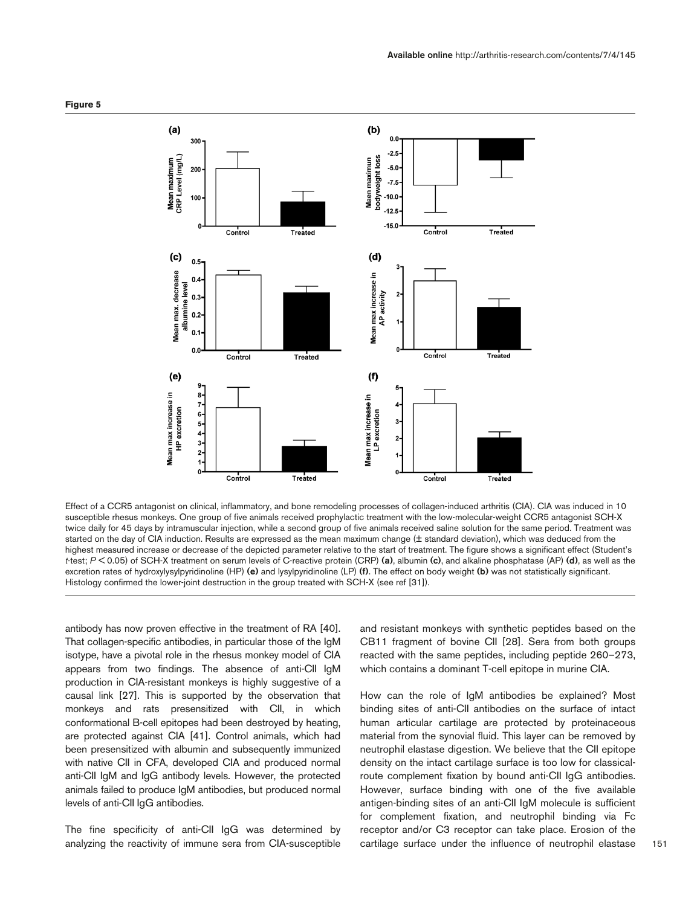

Effect of a CCR5 antagonist on clinical, inflammatory, and bone remodeling processes of collagen-induced arthritis (CIA). CIA was induced in 10 susceptible rhesus monkeys. One group of five animals received prophylactic treatment with the low-molecular-weight CCR5 antagonist SCH-X twice daily for 45 days by intramuscular injection, while a second group of five animals received saline solution for the same period. Treatment was started on the day of CIA induction. Results are expressed as the mean maximum change (± standard deviation), which was deduced from the highest measured increase or decrease of the depicted parameter relative to the start of treatment. The figure shows a significant effect (Student's *t*-test; *P <* 0.05) of SCH-X treatment on serum levels of C-reactive protein (CRP) **(a)**, albumin **(c)**, and alkaline phosphatase (AP) **(d)**, as well as the excretion rates of hydroxylysylpyridinoline (HP) **(e)** and lysylpyridinoline (LP) **(f)**. The effect on body weight **(b)** was not statistically significant. Histology confirmed the lower-joint destruction in the group treated with SCH-X (see ref [31]).

antibody has now proven effective in the treatment of RA [40]. That collagen-specific antibodies, in particular those of the IgM isotype, have a pivotal role in the rhesus monkey model of CIA appears from two findings. The absence of anti-CII IgM production in CIA-resistant monkeys is highly suggestive of a causal link [27]. This is supported by the observation that monkeys and rats presensitized with CII, in which conformational B-cell epitopes had been destroyed by heating, are protected against CIA [41]. Control animals, which had been presensitized with albumin and subsequently immunized with native CII in CFA, developed CIA and produced normal anti-CII IgM and IgG antibody levels. However, the protected animals failed to produce IgM antibodies, but produced normal levels of anti-CII IgG antibodies.

The fine specificity of anti-CII IgG was determined by analyzing the reactivity of immune sera from CIA-susceptible

and resistant monkeys with synthetic peptides based on the CB11 fragment of bovine CII [28]. Sera from both groups reacted with the same peptides, including peptide 260–273, which contains a dominant T-cell epitope in murine CIA.

How can the role of IgM antibodies be explained? Most binding sites of anti-CII antibodies on the surface of intact human articular cartilage are protected by proteinaceous material from the synovial fluid. This layer can be removed by neutrophil elastase digestion. We believe that the CII epitope density on the intact cartilage surface is too low for classicalroute complement fixation by bound anti-CII IgG antibodies. However, surface binding with one of the five available antigen-binding sites of an anti-CII IgM molecule is sufficient for complement fixation, and neutrophil binding via Fc receptor and/or C3 receptor can take place. Erosion of the cartilage surface under the influence of neutrophil elastase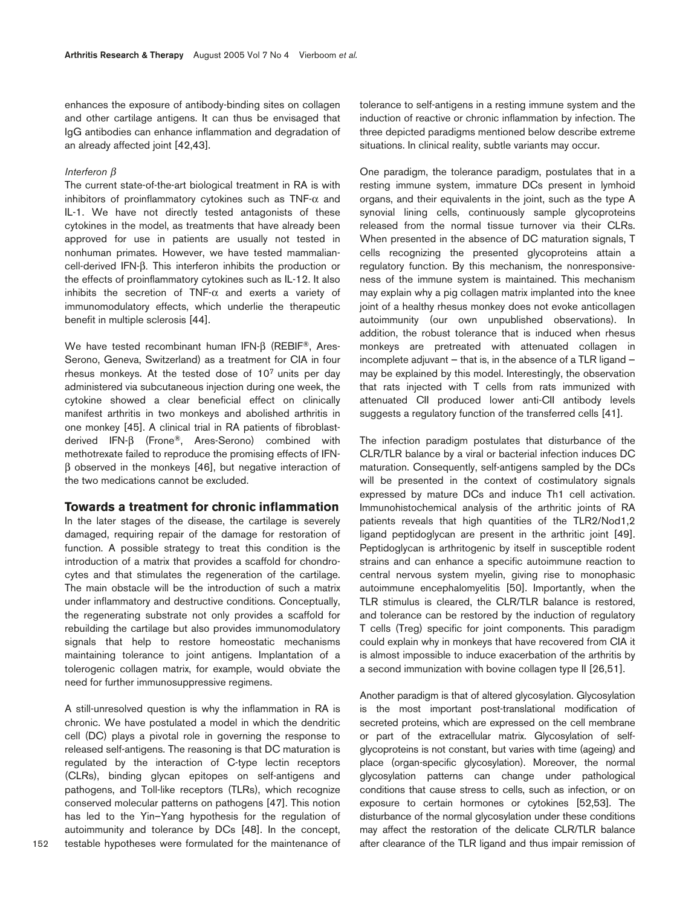enhances the exposure of antibody-binding sites on collagen and other cartilage antigens. It can thus be envisaged that IgG antibodies can enhance inflammation and degradation of an already affected joint [42,43].

# *Interferon* β

The current state-of-the-art biological treatment in RA is with inhibitors of proinflammatory cytokines such as  $TNF-\alpha$  and IL-1. We have not directly tested antagonists of these cytokines in the model, as treatments that have already been approved for use in patients are usually not tested in nonhuman primates. However, we have tested mammaliancell-derived IFN-β. This interferon inhibits the production or the effects of proinflammatory cytokines such as IL-12. It also inhibits the secretion of TNF- $\alpha$  and exerts a variety of immunomodulatory effects, which underlie the therapeutic benefit in multiple sclerosis [44].

We have tested recombinant human IFN-β (REBIF®, Ares-Serono, Geneva, Switzerland) as a treatment for CIA in four rhesus monkeys. At the tested dose of  $10<sup>7</sup>$  units per day administered via subcutaneous injection during one week, the cytokine showed a clear beneficial effect on clinically manifest arthritis in two monkeys and abolished arthritis in one monkey [45]. A clinical trial in RA patients of fibroblastderived IFN-β (Frone®, Ares-Serono) combined with methotrexate failed to reproduce the promising effects of IFNβ observed in the monkeys [46], but negative interaction of the two medications cannot be excluded.

# **Towards a treatment for chronic inflammation**

In the later stages of the disease, the cartilage is severely damaged, requiring repair of the damage for restoration of function. A possible strategy to treat this condition is the introduction of a matrix that provides a scaffold for chondrocytes and that stimulates the regeneration of the cartilage. The main obstacle will be the introduction of such a matrix under inflammatory and destructive conditions. Conceptually, the regenerating substrate not only provides a scaffold for rebuilding the cartilage but also provides immunomodulatory signals that help to restore homeostatic mechanisms maintaining tolerance to joint antigens. Implantation of a tolerogenic collagen matrix, for example, would obviate the need for further immunosuppressive regimens.

A still-unresolved question is why the inflammation in RA is chronic. We have postulated a model in which the dendritic cell (DC) plays a pivotal role in governing the response to released self-antigens. The reasoning is that DC maturation is regulated by the interaction of C-type lectin receptors (CLRs), binding glycan epitopes on self-antigens and pathogens, and Toll-like receptors (TLRs), which recognize conserved molecular patterns on pathogens [47]. This notion has led to the Yin–Yang hypothesis for the regulation of autoimmunity and tolerance by DCs [48]. In the concept, testable hypotheses were formulated for the maintenance of

tolerance to self-antigens in a resting immune system and the induction of reactive or chronic inflammation by infection. The three depicted paradigms mentioned below describe extreme situations. In clinical reality, subtle variants may occur.

One paradigm, the tolerance paradigm, postulates that in a resting immune system, immature DCs present in lymhoid organs, and their equivalents in the joint, such as the type A synovial lining cells, continuously sample glycoproteins released from the normal tissue turnover via their CLRs. When presented in the absence of DC maturation signals, T cells recognizing the presented glycoproteins attain a regulatory function. By this mechanism, the nonresponsiveness of the immune system is maintained. This mechanism may explain why a pig collagen matrix implanted into the knee joint of a healthy rhesus monkey does not evoke anticollagen autoimmunity (our own unpublished observations). In addition, the robust tolerance that is induced when rhesus monkeys are pretreated with attenuated collagen in incomplete adjuvant  $-$  that is, in the absence of a TLR ligand  $$ may be explained by this model. Interestingly, the observation that rats injected with T cells from rats immunized with attenuated CII produced lower anti-CII antibody levels suggests a regulatory function of the transferred cells [41].

The infection paradigm postulates that disturbance of the CLR/TLR balance by a viral or bacterial infection induces DC maturation. Consequently, self-antigens sampled by the DCs will be presented in the context of costimulatory signals expressed by mature DCs and induce Th1 cell activation. Immunohistochemical analysis of the arthritic joints of RA patients reveals that high quantities of the TLR2/Nod1,2 ligand peptidoglycan are present in the arthritic joint [49]. Peptidoglycan is arthritogenic by itself in susceptible rodent strains and can enhance a specific autoimmune reaction to central nervous system myelin, giving rise to monophasic autoimmune encephalomyelitis [50]. Importantly, when the TLR stimulus is cleared, the CLR/TLR balance is restored, and tolerance can be restored by the induction of regulatory T cells (Treg) specific for joint components. This paradigm could explain why in monkeys that have recovered from CIA it is almost impossible to induce exacerbation of the arthritis by a second immunization with bovine collagen type II [26,51].

Another paradigm is that of altered glycosylation. Glycosylation is the most important post-translational modification of secreted proteins, which are expressed on the cell membrane or part of the extracellular matrix. Glycosylation of selfglycoproteins is not constant, but varies with time (ageing) and place (organ-specific glycosylation). Moreover, the normal glycosylation patterns can change under pathological conditions that cause stress to cells, such as infection, or on exposure to certain hormones or cytokines [52,53]. The disturbance of the normal glycosylation under these conditions may affect the restoration of the delicate CLR/TLR balance after clearance of the TLR ligand and thus impair remission of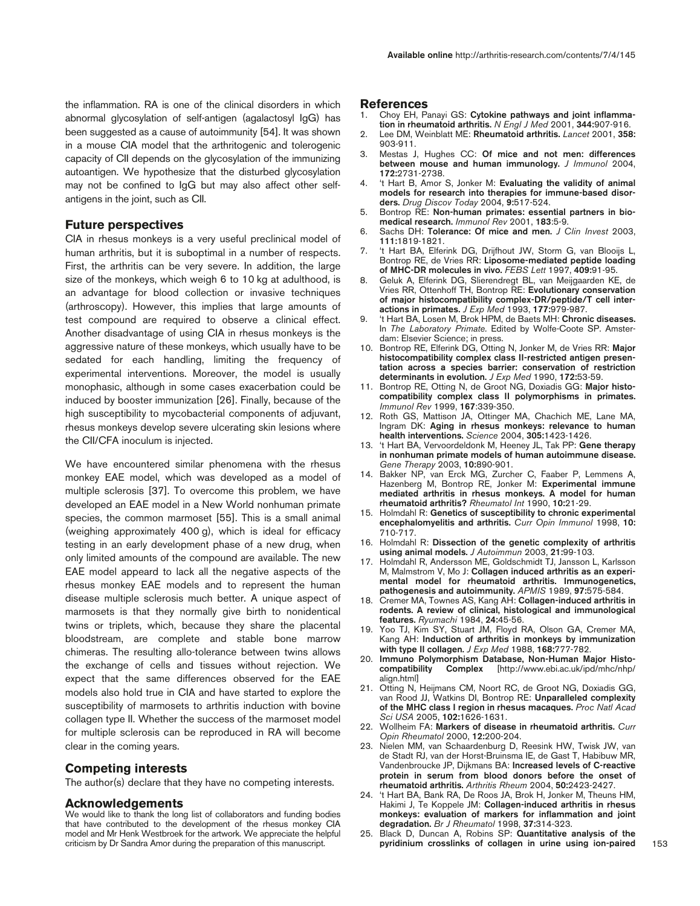the inflammation. RA is one of the clinical disorders in which abnormal glycosylation of self-antigen (agalactosyl IgG) has been suggested as a cause of autoimmunity [54]. It was shown in a mouse CIA model that the arthritogenic and tolerogenic capacity of CII depends on the glycosylation of the immunizing autoantigen. We hypothesize that the disturbed glycosylation may not be confined to IgG but may also affect other selfantigens in the joint, such as CII.

### **Future perspectives**

CIA in rhesus monkeys is a very useful preclinical model of human arthritis, but it is suboptimal in a number of respects. First, the arthritis can be very severe. In addition, the large size of the monkeys, which weigh 6 to 10 kg at adulthood, is an advantage for blood collection or invasive techniques (arthroscopy). However, this implies that large amounts of test compound are required to observe a clinical effect. Another disadvantage of using CIA in rhesus monkeys is the aggressive nature of these monkeys, which usually have to be sedated for each handling, limiting the frequency of experimental interventions. Moreover, the model is usually monophasic, although in some cases exacerbation could be induced by booster immunization [26]. Finally, because of the high susceptibility to mycobacterial components of adjuvant, rhesus monkeys develop severe ulcerating skin lesions where the CII/CFA inoculum is injected.

We have encountered similar phenomena with the rhesus monkey EAE model, which was developed as a model of multiple sclerosis [37]. To overcome this problem, we have developed an EAE model in a New World nonhuman primate species, the common marmoset [55]. This is a small animal (weighing approximately 400 g), which is ideal for efficacy testing in an early development phase of a new drug, when only limited amounts of the compound are available. The new EAE model appeard to lack all the negative aspects of the rhesus monkey EAE models and to represent the human disease multiple sclerosis much better. A unique aspect of marmosets is that they normally give birth to nonidentical twins or triplets, which, because they share the placental bloodstream, are complete and stable bone marrow chimeras. The resulting allo-tolerance between twins allows the exchange of cells and tissues without rejection. We expect that the same differences observed for the EAE models also hold true in CIA and have started to explore the susceptibility of marmosets to arthritis induction with bovine collagen type II. Whether the success of the marmoset model for multiple sclerosis can be reproduced in RA will become clear in the coming years.

# **Competing interests**

The author(s) declare that they have no competing interests.

# **Acknowledgements**

We would like to thank the long list of collaborators and funding bodies that have contributed to the development of the rhesus monkey CIA model and Mr Henk Westbroek for the artwork. We appreciate the helpful criticism by Dr Sandra Amor during the preparation of this manuscript.

#### **References**

- 1. Choy EH, Panayi GS: **Cytokine pathways and joint inflammation in rheumatoid arthritis.** *N Engl J Med* 2001, **344:**907-916.
- 2. Lee DM, Weinblatt ME: **Rheumatoid arthritis.** *Lancet* 2001, **358:** 903-911.
- 3. Mestas J, Hughes CC: **Of mice and not men: differences between mouse and human immunology.** *J Immunol* 2004, **172:**2731-2738.
- 4. 't Hart B, Amor S, Jonker M: **Evaluating the validity of animal models for research into therapies for immune-based disorders.** *Drug Discov Today* 2004, **9:**517-524.
- 5. Bontrop RE: **Non-human primates: essential partners in biomedical research.** *Immunol Rev* 2001, **183**:5-9.
- 6. Sachs DH: **Tolerance: Of mice and men.** *J Clin Invest* 2003, **111:**1819-1821.
- 7. 't Hart BA, Elferink DG, Drijfhout JW, Storm G, van Blooijs L, Bontrop RE, de Vries RR: **Liposome-mediated peptide loading of MHC-DR molecules in vivo.** *FEBS Lett* 1997, **409:**91-95.
- 8. Geluk A, Elferink DG, Slierendregt BL, van Meijgaarden KE, de Vries RR, Ottenhoff TH, Bontrop RE: **Evolutionary conservation of major histocompatibility complex-DR/peptide/T cell interactions in primates.** *J Exp Med* 1993, **177:**979-987.
- 9. 't Hart BA, Losen M, Brok HPM, de Baets MH: **Chronic diseases.** In *The Laboratory Primate.* Edited by Wolfe-Coote SP. Amsterdam: Elsevier Science; in press.
- 10. Bontrop RE, Elferink DG, Otting N, Jonker M, de Vries RR: **Major histocompatibility complex class II-restricted antigen presentation across a species barrier: conservation of restriction determinants in evolution.** *J Exp Med* 1990, **172:**53-59.
- 11. Bontrop RE, Otting N, de Groot NG, Doxiadis GG: **Major histocompatibility complex class II polymorphisms in primates.** *Immunol Rev* 1999, **167**:339-350.
- 12. Roth GS, Mattison JA, Ottinger MA, Chachich ME, Lane MA, Ingram DK: **Aging in rhesus monkeys: relevance to human health interventions.** *Science* 2004, **305:**1423-1426.
- 13. 't Hart BA, Vervoordeldonk M, Heeney JL, Tak PP: **Gene therapy in nonhuman primate models of human autoimmune disease.** *Gene Therapy* 2003, **10:**890-901.
- 14. Bakker NP, van Erck MG, Zurcher C, Faaber P, Lemmens A, Hazenberg M, Bontrop RE, Jonker M: **Experimental immune mediated arthritis in rhesus monkeys. A model for human rheumatoid arthritis?** *Rheumatol Int* 1990, **10:**21-29.
- 15. Holmdahl R: **Genetics of susceptibility to chronic experimental encephalomyelitis and arthritis.** *Curr Opin Immunol* 1998, **10:** 710-717.
- 16. Holmdahl R: **Dissection of the genetic complexity of arthritis using animal models.** *J Autoimmun* 2003, **21:**99-103.
- 17. Holmdahl R, Andersson ME, Goldschmidt TJ, Jansson L, Karlsson M, Malmstrom V, Mo J: **Collagen induced arthritis as an experimental model for rheumatoid arthritis. Immunogenetics, pathogenesis and autoimmunity.** *APMIS* 1989, **97:**575-584.
- 18. Cremer MA, Townes AS, Kang AH: **Collagen-induced arthritis in rodents. A review of clinical, histological and immunological features.** *Ryumachi* 1984, **24:**45-56.
- 19. Yoo TJ, Kim SY, Stuart JM, Floyd RA, Olson GA, Cremer MA, Kang AH: **Induction of arthritis in monkeys by immunization with type II collagen.** *J Exp Med* 1988, **168:**777-782.
- 20. **Immuno Polymorphism Database, Non-Human Major Histo-Complex** [http://www.ebi.ac.uk/ipd/mhc/nhp/ align.html]
- 21. Otting N, Heijmans CM, Noort RC, de Groot NG, Doxiadis GG, van Rood JJ, Watkins DI, Bontrop RE: **Unparalleled complexity of the MHC class I region in rhesus macaques.** *Proc Natl Acad Sci USA* 2005, **102:**1626-1631.
- 22. Wollheim FA: **Markers of disease in rheumatoid arthritis.** *Curr Opin Rheumatol* 2000, **12:**200-204.
- 23. Nielen MM, van Schaardenburg D, Reesink HW, Twisk JW, van de Stadt RJ, van der Horst-Bruinsma IE, de Gast T, Habibuw MR, Vandenbroucke JP, Dijkmans BA: **Increased levels of C-reactive protein in serum from blood donors before the onset of rheumatoid arthritis.** *Arthritis Rheum* 2004, **50:**2423-2427.
- 24. 't Hart BA, Bank RA, De Roos JA, Brok H, Jonker M, Theuns HM, Hakimi J, Te Koppele JM: **Collagen-induced arthritis in rhesus monkeys: evaluation of markers for inflammation and joint degradation.** *Br J Rheumatol* 1998, **37:**314-323.
- 25. Black D, Duncan A, Robins SP: **Quantitative analysis of the pyridinium crosslinks of collagen in urine using ion-paired**